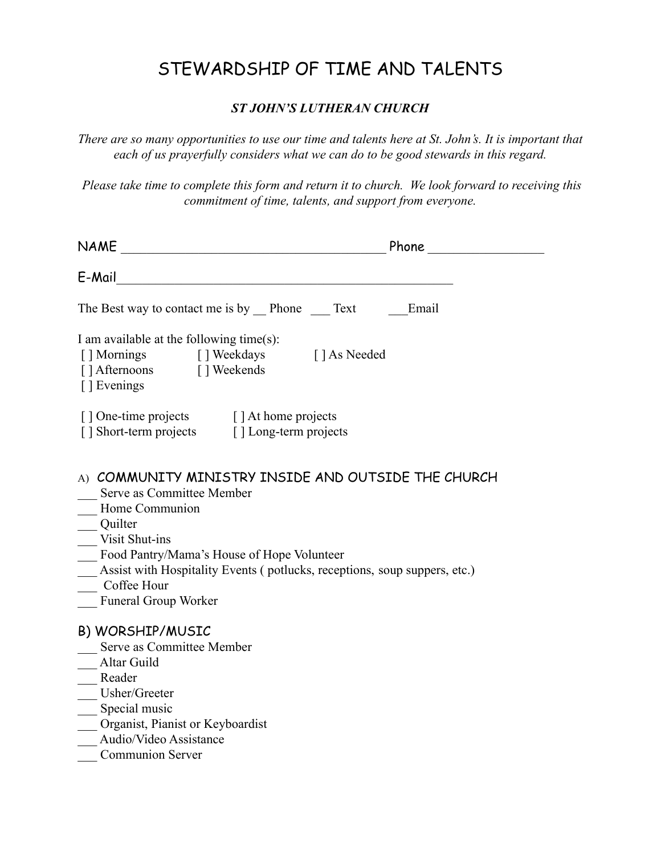# STEWARDSHIP OF TIME AND TALENTS

#### *ST JOHN'S LUTHERAN CHURCH*

*There are so many opportunities to use our time and talents here at St. John's. It is important that each of us prayerfully considers what we can do to be good stewards in this regard.*

*Please take time to complete this form and return it to church. We look forward to receiving this commitment of time, talents, and support from everyone.*

| <b>NAME</b>                                                                                                                                                                                                                                                                                                                                                                                                                                                                                               | <u>Phone</u> Phone Communication of the Phone Communication of the Communication of the Communication of the Communication of the Communication of the Communication of the Communication of the Communication of the Communication |
|-----------------------------------------------------------------------------------------------------------------------------------------------------------------------------------------------------------------------------------------------------------------------------------------------------------------------------------------------------------------------------------------------------------------------------------------------------------------------------------------------------------|-------------------------------------------------------------------------------------------------------------------------------------------------------------------------------------------------------------------------------------|
| E-Mail<br><u> 1989 - Johann John Stoff, deutscher Stoffen und der Stoffen und der Stoffen und der Stoffen und der Stoffen u</u>                                                                                                                                                                                                                                                                                                                                                                           |                                                                                                                                                                                                                                     |
| The Best way to contact me is by Phone Text                                                                                                                                                                                                                                                                                                                                                                                                                                                               | Email                                                                                                                                                                                                                               |
| I am available at the following time $(s)$ :<br>[] Mornings [] Weekdays<br>[] Afternoons [] Weekends<br>[] Evenings                                                                                                                                                                                                                                                                                                                                                                                       | [ ] As Needed                                                                                                                                                                                                                       |
| [] One-time projects [] At home projects<br>[] Short-term projects [] Long-term projects                                                                                                                                                                                                                                                                                                                                                                                                                  |                                                                                                                                                                                                                                     |
| A) COMMUNITY MINISTRY INSIDE AND OUTSIDE THE CHURCH<br>Serve as Committee Member<br>Home Communion<br>Quilter<br>Visit Shut-ins<br>Food Pantry/Mama's House of Hope Volunteer<br>Assist with Hospitality Events (potlucks, receptions, soup suppers, etc.)<br>Coffee Hour<br>Funeral Group Worker<br>B) WORSHIP/MUSIC<br>Serve as Committee Member<br>Altar Guild<br>Reader<br>Usher/Greeter<br>__ Special music<br>Organist, Pianist or Keyboardist<br>Audio/Video Assistance<br><b>Communion Server</b> |                                                                                                                                                                                                                                     |